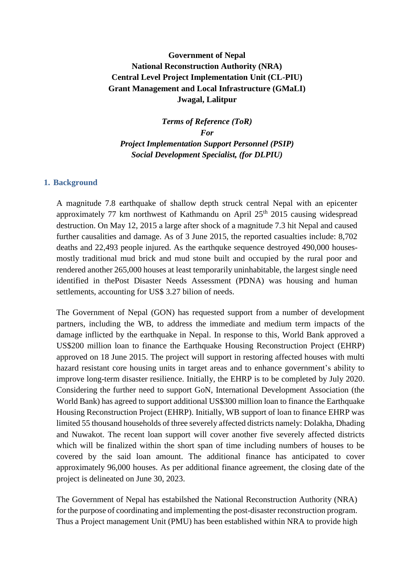# **Government of Nepal National Reconstruction Authority (NRA) Central Level Project Implementation Unit (CL-PIU) Grant Management and Local Infrastructure (GMaLI) Jwagal, Lalitpur**

*Terms of Reference (ToR) For Project Implementation Support Personnel (PSIP) Social Development Specialist, (for DLPIU)*

#### **1. Background**

A magnitude 7.8 earthquake of shallow depth struck central Nepal with an epicenter approximately 77 km northwest of Kathmandu on April  $25<sup>th</sup>$  2015 causing widespread destruction. On May 12, 2015 a large after shock of a magnitude 7.3 hit Nepal and caused further causalities and damage. As of 3 June 2015, the reported casualties include: 8,702 deaths and 22,493 people injured. As the earthquke sequence destroyed 490,000 housesmostly traditional mud brick and mud stone built and occupied by the rural poor and rendered another 265,000 houses at least temporarily uninhabitable, the largest single need identified in thePost Disaster Needs Assessment (PDNA) was housing and human settlements, accounting for US\$ 3.27 bilion of needs.

The Government of Nepal (GON) has requested support from a number of development partners, including the WB, to address the immediate and medium term impacts of the damage inflicted by the earthquake in Nepal. In response to this, World Bank approved a US\$200 million loan to finance the Earthquake Housing Reconstruction Project (EHRP) approved on 18 June 2015. The project will support in restoring affected houses with multi hazard resistant core housing units in target areas and to enhance government's ability to improve long-term disaster resilience. Initially, the EHRP is to be completed by July 2020. Considering the further need to support GoN, International Development Association (the World Bank) has agreed to support additional US\$300 million loan to finance the Earthquake Housing Reconstruction Project (EHRP). Initially, WB support of loan to finance EHRP was limited 55 thousand households of three severely affected districts namely: Dolakha, Dhading and Nuwakot. The recent loan support will cover another five severely affected districts which will be finalized within the short span of time including numbers of houses to be covered by the said loan amount. The additional finance has anticipated to cover approximately 96,000 houses. As per additional finance agreement, the closing date of the project is delineated on June 30, 2023.

The Government of Nepal has estabilshed the National Reconstruction Authority (NRA) for the purpose of coordinating and implementing the post-disaster reconstruction program. Thus a Project management Unit (PMU) has been established within NRA to provide high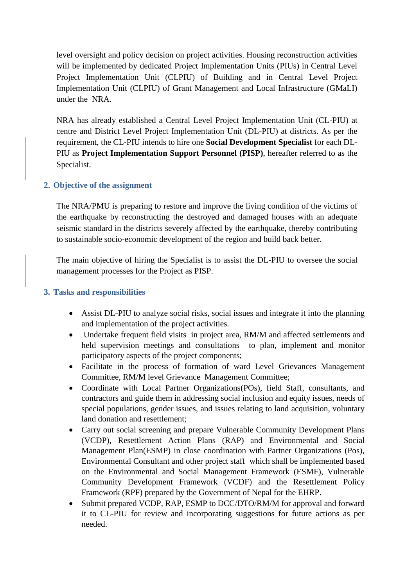level oversight and policy decision on project activities. Housing reconstruction activities will be implemented by dedicated Project Implementation Units (PIUs) in Central Level Project Implementation Unit (CLPIU) of Building and in Central Level Project Implementation Unit (CLPIU) of Grant Management and Local Infrastructure (GMaLI) under the NRA.

NRA has already established a Central Level Project Implementation Unit (CL-PIU) at centre and District Level Project Implementation Unit (DL-PIU) at districts. As per the requirement, the CL-PIU intends to hire one **Social Development Specialist** for each DL-PIU as **Project Implementation Support Personnel (PISP)**, hereafter referred to as the Specialist.

## **2. Objective of the assignment**

The NRA/PMU is preparing to restore and improve the living condition of the victims of the earthquake by reconstructing the destroyed and damaged houses with an adequate seismic standard in the districts severely affected by the earthquake, thereby contributing to sustainable socio-economic development of the region and build back better.

The main objective of hiring the Specialist is to assist the DL-PIU to oversee the social management processes for the Project as PISP.

### **3. Tasks and responsibilities**

- Assist DL-PIU to analyze social risks, social issues and integrate it into the planning and implementation of the project activities.
- Undertake frequent field visits in project area, RM/M and affected settlements and held supervision meetings and consultations to plan, implement and monitor participatory aspects of the project components;
- Facilitate in the process of formation of ward Level Grievances Management Committee, RM/M level Grievance Management Committee;
- Coordinate with Local Partner Organizations (POs), field Staff, consultants, and contractors and guide them in addressing social inclusion and equity issues, needs of special populations, gender issues, and issues relating to land acquisition, voluntary land donation and resettlement;
- Carry out social screening and prepare Vulnerable Community Development Plans (VCDP), Resettlement Action Plans (RAP) and Environmental and Social Management Plan(ESMP) in close coordination with Partner Organizations (Pos), Environmental Consultant and other project staff which shall be implemented based on the Environmental and Social Management Framework (ESMF), Vulnerable Community Development Framework (VCDF) and the Resettlement Policy Framework (RPF) prepared by the Government of Nepal for the EHRP.
- Submit prepared VCDP, RAP, ESMP to DCC/DTO/RM/M for approval and forward it to CL-PIU for review and incorporating suggestions for future actions as per needed.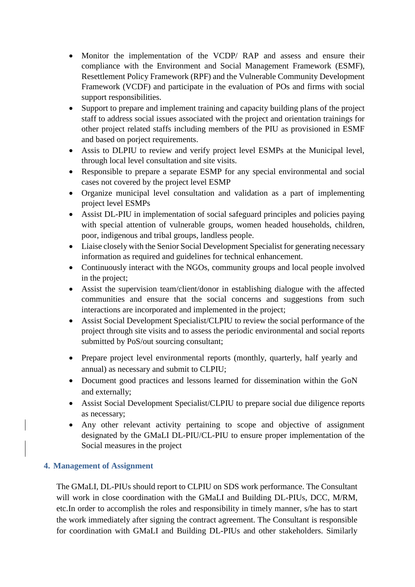- Monitor the implementation of the VCDP/ RAP and assess and ensure their compliance with the Environment and Social Management Framework (ESMF), Resettlement Policy Framework (RPF) and the Vulnerable Community Development Framework (VCDF) and participate in the evaluation of POs and firms with social support responsibilities.
- Support to prepare and implement training and capacity building plans of the project staff to address social issues associated with the project and orientation trainings for other project related staffs including members of the PIU as provisioned in ESMF and based on porject requirements.
- Assis to DLPIU to review and verify project level ESMPs at the Municipal level, through local level consultation and site visits.
- Responsible to prepare a separate ESMP for any special environmental and social cases not covered by the project level ESMP
- Organize municipal level consultation and validation as a part of implementing project level ESMPs
- Assist DL-PIU in implementation of social safeguard principles and policies paying with special attention of vulnerable groups, women headed households, children, poor, indigenous and tribal groups, landless people.
- Liaise closely with the Senior Social Development Specialist for generating necessary information as required and guidelines for technical enhancement.
- Continuously interact with the NGOs, community groups and local people involved in the project;
- Assist the supervision team/client/donor in establishing dialogue with the affected communities and ensure that the social concerns and suggestions from such interactions are incorporated and implemented in the project;
- Assist Social Development Specialist/CLPIU to review the social performance of the project through site visits and to assess the periodic environmental and social reports submitted by PoS/out sourcing consultant;
- Prepare project level environmental reports (monthly, quarterly, half yearly and annual) as necessary and submit to CLPIU;
- Document good practices and lessons learned for dissemination within the GoN and externally;
- Assist Social Development Specialist/CLPIU to prepare social due diligence reports as necessary;
- Any other relevant activity pertaining to scope and objective of assignment designated by the GMaLI DL-PIU/CL-PIU to ensure proper implementation of the Social measures in the project

# **4. Management of Assignment**

The GMaLI, DL-PIUs should report to CLPIU on SDS work performance. The Consultant will work in close coordination with the GMaLI and Building DL-PIUs, DCC, M/RM, etc.In order to accomplish the roles and responsibility in timely manner, s/he has to start the work immediately after signing the contract agreement. The Consultant is responsible for coordination with GMaLI and Building DL-PIUs and other stakeholders. Similarly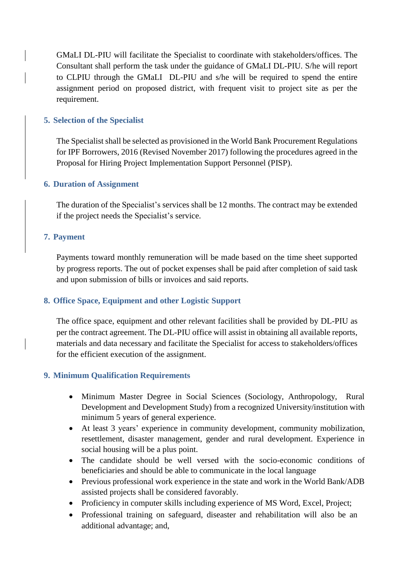GMaLI DL-PIU will facilitate the Specialist to coordinate with stakeholders/offices. The Consultant shall perform the task under the guidance of GMaLI DL-PIU. S/he will report to CLPIU through the GMaLI DL-PIU and s/he will be required to spend the entire assignment period on proposed district, with frequent visit to project site as per the requirement.

## **5. Selection of the Specialist**

The Specialist shall be selected as provisioned in the World Bank Procurement Regulations for IPF Borrowers, 2016 (Revised November 2017) following the procedures agreed in the Proposal for Hiring Project Implementation Support Personnel (PISP).

## **6. Duration of Assignment**

The duration of the Specialist's services shall be 12 months. The contract may be extended if the project needs the Specialist's service.

#### **7. Payment**

Payments toward monthly remuneration will be made based on the time sheet supported by progress reports. The out of pocket expenses shall be paid after completion of said task and upon submission of bills or invoices and said reports.

# **8. Office Space, Equipment and other Logistic Support**

The office space, equipment and other relevant facilities shall be provided by DL-PIU as per the contract agreement. The DL-PIU office will assist in obtaining all available reports, materials and data necessary and facilitate the Specialist for access to stakeholders/offices for the efficient execution of the assignment.

# **9. Minimum Qualification Requirements**

- Minimum Master Degree in Social Sciences (Sociology, Anthropology, Rural Development and Development Study) from a recognized University/institution with minimum 5 years of general experience.
- At least 3 years' experience in community development, community mobilization, resettlement, disaster management, gender and rural development. Experience in social housing will be a plus point.
- The candidate should be well versed with the socio-economic conditions of beneficiaries and should be able to communicate in the local language
- Previous professional work experience in the state and work in the World Bank/ADB assisted projects shall be considered favorably.
- Proficiency in computer skills including experience of MS Word, Excel, Project;
- Professional training on safeguard, diseaster and rehabilitation will also be an additional advantage; and,